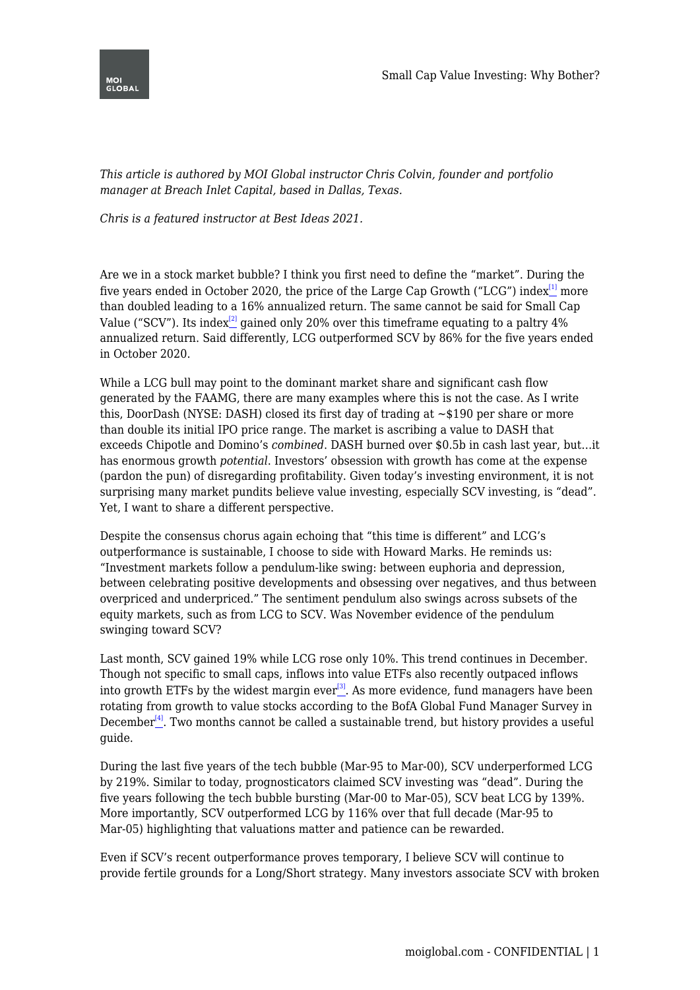

*This article is authored by MOI Global instructor Chris Colvin, founder and portfolio manager at Breach Inlet Capital, based in Dallas, Texas.*

*Chris is a featured instructor at Best Ideas 2021.*

<span id="page-0-1"></span><span id="page-0-0"></span>Are we in a stock market bubble? I think you first need to define the "market". During the five years ended in October 2020, the price of the Large Cap Growth ("LCG") index $^{[1]}$  $^{[1]}$  $^{[1]}$  more than doubled leading to a 16% annualized return. The same cannot be said for Small Cap Value ("SCV"). Its index<sup>[\[2\]](#page-1-1)</sup> gained only 20% over this time frame equating to a paltry  $4\%$ annualized return. Said differently, LCG outperformed SCV by 86% for the five years ended in October 2020.

While a LCG bull may point to the dominant market share and significant cash flow generated by the FAAMG, there are many examples where this is not the case. As I write this, DoorDash (NYSE: DASH) closed its first day of trading at ~\$190 per share or more than double its initial IPO price range. The market is ascribing a value to DASH that exceeds Chipotle and Domino's *combined*. DASH burned over \$0.5b in cash last year, but…it has enormous growth *potential*. Investors' obsession with growth has come at the expense (pardon the pun) of disregarding profitability. Given today's investing environment, it is not surprising many market pundits believe value investing, especially SCV investing, is "dead". Yet, I want to share a different perspective.

Despite the consensus chorus again echoing that "this time is different" and LCG's outperformance is sustainable, I choose to side with Howard Marks. He reminds us: "Investment markets follow a pendulum-like swing: between euphoria and depression, between celebrating positive developments and obsessing over negatives, and thus between overpriced and underpriced." The sentiment pendulum also swings across subsets of the equity markets, such as from LCG to SCV. Was November evidence of the pendulum swinging toward SCV?

<span id="page-0-2"></span>Last month, SCV gained 19% while LCG rose only 10%. This trend continues in December. Though not specific to small caps, inflows into value ETFs also recently outpaced inflows into growth ETFs by the widest margin ever<sup>[\[3\]](#page-2-0)</sup>. As more evidence, fund managers have been rotating from growth to value stocks according to the BofA Global Fund Manager Survey in December $^{[4]}$  $^{[4]}$  $^{[4]}$ . Two months cannot be called a sustainable trend, but history provides a useful guide.

<span id="page-0-3"></span>During the last five years of the tech bubble (Mar-95 to Mar-00), SCV underperformed LCG by 219%. Similar to today, prognosticators claimed SCV investing was "dead". During the five years following the tech bubble bursting (Mar-00 to Mar-05), SCV beat LCG by 139%. More importantly, SCV outperformed LCG by 116% over that full decade (Mar-95 to Mar-05) highlighting that valuations matter and patience can be rewarded.

Even if SCV's recent outperformance proves temporary, I believe SCV will continue to provide fertile grounds for a Long/Short strategy. Many investors associate SCV with broken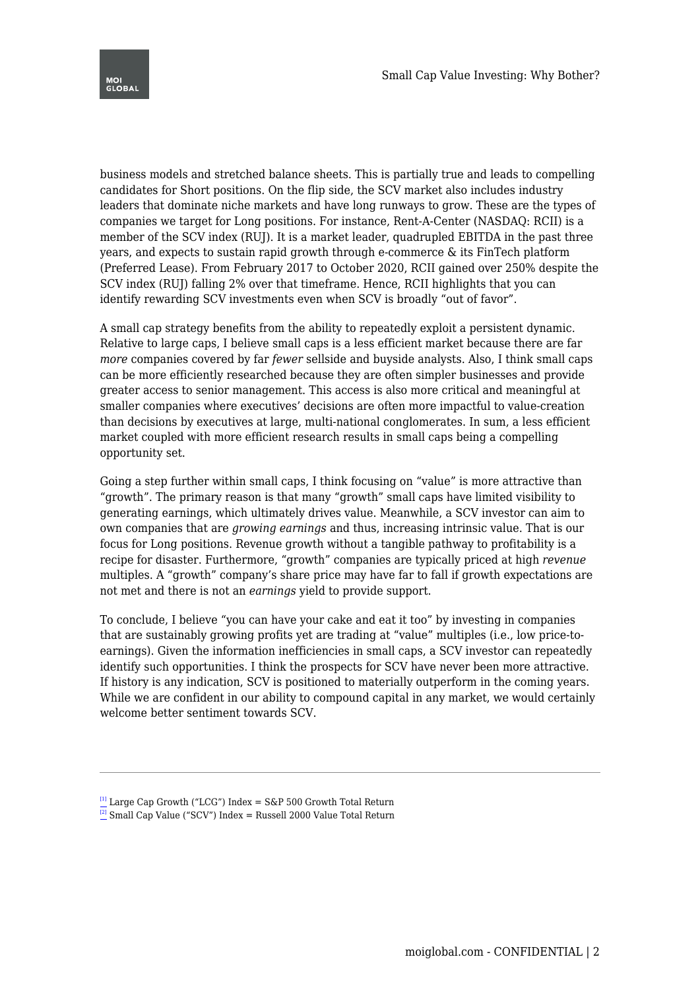

business models and stretched balance sheets. This is partially true and leads to compelling candidates for Short positions. On the flip side, the SCV market also includes industry leaders that dominate niche markets and have long runways to grow. These are the types of companies we target for Long positions. For instance, Rent-A-Center (NASDAQ: RCII) is a member of the SCV index (RUJ). It is a market leader, quadrupled EBITDA in the past three years, and expects to sustain rapid growth through e-commerce & its FinTech platform (Preferred Lease). From February 2017 to October 2020, RCII gained over 250% despite the SCV index (RUJ) falling 2% over that timeframe. Hence, RCII highlights that you can identify rewarding SCV investments even when SCV is broadly "out of favor".

A small cap strategy benefits from the ability to repeatedly exploit a persistent dynamic. Relative to large caps, I believe small caps is a less efficient market because there are far *more* companies covered by far *fewer* sellside and buyside analysts. Also, I think small caps can be more efficiently researched because they are often simpler businesses and provide greater access to senior management. This access is also more critical and meaningful at smaller companies where executives' decisions are often more impactful to value-creation than decisions by executives at large, multi-national conglomerates. In sum, a less efficient market coupled with more efficient research results in small caps being a compelling opportunity set.

Going a step further within small caps, I think focusing on "value" is more attractive than "growth". The primary reason is that many "growth" small caps have limited visibility to generating earnings, which ultimately drives value. Meanwhile, a SCV investor can aim to own companies that are *growing earnings* and thus, increasing intrinsic value. That is our focus for Long positions. Revenue growth without a tangible pathway to profitability is a recipe for disaster. Furthermore, "growth" companies are typically priced at high *revenue* multiples. A "growth" company's share price may have far to fall if growth expectations are not met and there is not an *earnings* yield to provide support.

To conclude, I believe "you can have your cake and eat it too" by investing in companies that are sustainably growing profits yet are trading at "value" multiples (i.e., low price-toearnings). Given the information inefficiencies in small caps, a SCV investor can repeatedly identify such opportunities. I think the prospects for SCV have never been more attractive. If history is any indication, SCV is positioned to materially outperform in the coming years. While we are confident in our ability to compound capital in any market, we would certainly welcome better sentiment towards SCV.

- <span id="page-1-0"></span> $^{[1]}$  $^{[1]}$  $^{[1]}$  Large Cap Growth ("LCG") Index = S&P 500 Growth Total Return
- <span id="page-1-1"></span> $\frac{[2]}{2}$  $\frac{[2]}{2}$  $\frac{[2]}{2}$  Small Cap Value ("SCV") Index = Russell 2000 Value Total Return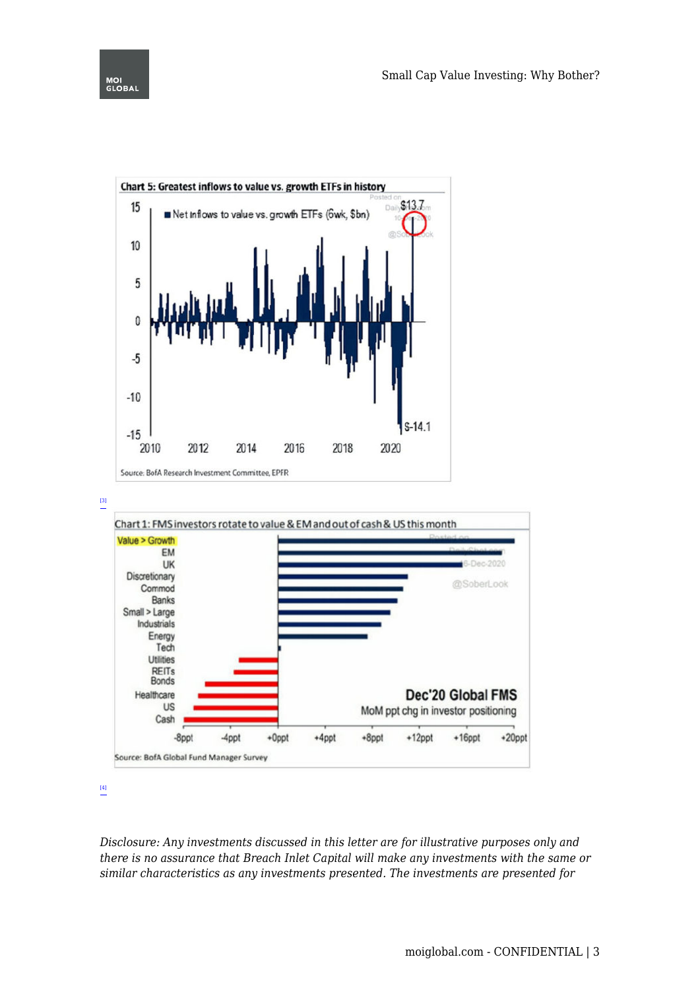

<span id="page-2-0"></span>[\[3\]](#page-0-2)



[\[4\]](#page-0-3)

*Disclosure: Any investments discussed in this letter are for illustrative purposes only and there is no assurance that Breach Inlet Capital will make any investments with the same or similar characteristics as any investments presented. The investments are presented for*